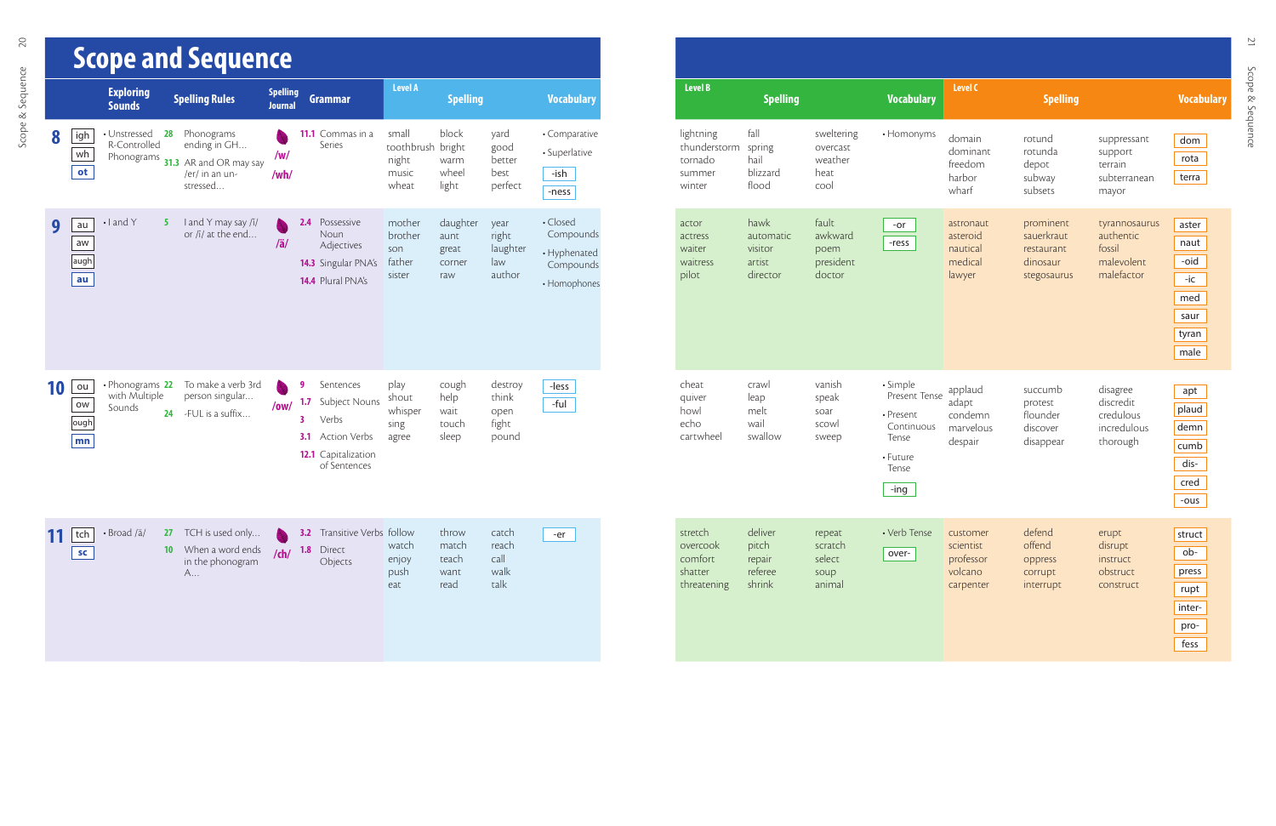|    |                        |                                            |                              | <b>Scope and Sequence</b>                                                          |                                   |                      |                                                                                                   |                                                       |                                            |                                            |                                                                    |
|----|------------------------|--------------------------------------------|------------------------------|------------------------------------------------------------------------------------|-----------------------------------|----------------------|---------------------------------------------------------------------------------------------------|-------------------------------------------------------|--------------------------------------------|--------------------------------------------|--------------------------------------------------------------------|
|    |                        | <b>Exploring</b><br><b>Sounds</b>          |                              | <b>Spelling Rules</b>                                                              | <b>Spelling</b><br><b>Journal</b> |                      | <b>Grammar</b>                                                                                    | <b>Level A</b>                                        | <b>Spelling</b>                            |                                            | <b>Vocabulary</b>                                                  |
| 8  | igh<br>wh<br>ot        | • Unstressed<br>R-Controlled<br>Phonograms | 28                           | Phonograms<br>ending in GH<br>31.3 AR and OR may say<br>/er/ in an un-<br>stressed | /w/<br>/wh/                       |                      | 11.1 Commas in a<br>Series                                                                        | small<br>toothbrush bright<br>night<br>music<br>wheat | block<br>warm<br>wheel<br>light            | yard<br>good<br>better<br>best<br>perfect  | • Comparative<br>• Superlative<br>-ish<br>-ness                    |
| 9  | au<br>aw<br>augh<br>au | $\cdot$   and Y                            | 5.                           | I and Y may say /i/<br>or /ī/ at the end                                           | $/\ddot{a}/$                      | 2.4                  | Possessive<br>Noun<br>Adjectives<br><b>14.3</b> Singular PNA's<br>14.4 Plural PNA's               | mother<br>brother<br>son<br>father<br>sister          | daughter<br>aunt<br>great<br>corner<br>raw | year<br>right<br>laughter<br>law<br>author | • Closed<br>Compounds<br>• Hyphenated<br>Compounds<br>• Homophones |
| 10 | ou<br>ow<br>ough<br>mn | • Phonograms 22<br>with Multiple<br>Sounds | 24                           | To make a verb 3rd<br>person singular<br>-FUL is a suffix                          | /ow/                              | 9<br>1.7<br>3<br>3.1 | Sentences<br>Subject Nouns<br>Verbs<br><b>Action Verbs</b><br>12.1 Capitalization<br>of Sentences | play<br>shout<br>whisper<br>sing<br>agree             | cough<br>help<br>wait<br>touch<br>sleep    | destroy<br>think<br>open<br>fight<br>pound | -less<br>-ful                                                      |
|    | tch<br>SC              | · Broad /ä/                                | <b>27</b><br>10 <sup>°</sup> | TCH is used only<br>When a word ends<br>in the phonogram<br>A                      | $/$ ch $/$                        | 1.8                  | <b>3.2</b> Transitive Verbs follow<br>Direct<br>Objects                                           | watch<br>enjoy<br>push<br>eat                         | throw<br>match<br>teach<br>want<br>read    | catch<br>reach<br>call<br>walk<br>talk     | -er                                                                |

| <b>Level B</b>                                           | <b>Spelling</b>                                    |                                                   | <b>Vocabulary</b>                                                                             | <b>Level C</b>                                             | <b>Spelling</b>                                                  |                                                                  | <b>Vocabulary</b>                                            |
|----------------------------------------------------------|----------------------------------------------------|---------------------------------------------------|-----------------------------------------------------------------------------------------------|------------------------------------------------------------|------------------------------------------------------------------|------------------------------------------------------------------|--------------------------------------------------------------|
| lightning<br>thunderstorm<br>tornado<br>summer<br>winter | fall<br>spring<br>hail<br>blizzard<br>flood        | sweltering<br>overcast<br>weather<br>heat<br>cool | • Homonyms                                                                                    | domain<br>dominant<br>freedom<br>harbor<br>wharf           | rotund<br>rotunda<br>depot<br>subway<br>subsets                  | suppressant<br>support<br>terrain<br>subterranean<br>mayor       | dom<br>rota<br>terra                                         |
| actor<br>actress<br>waiter<br>waitress<br>pilot          | hawk<br>automatic<br>visitor<br>artist<br>director | fault<br>awkward<br>poem<br>president<br>doctor   | -or<br>-ress                                                                                  | astronaut<br>asteroid<br>nautical<br>medical<br>lawyer     | prominent<br>sauerkraut<br>restaurant<br>dinosaur<br>stegosaurus | tyrannosaurus<br>authentic<br>fossil<br>malevolent<br>malefactor | aster<br>naut<br>-oid<br>-ic<br>med<br>saur<br>tyran<br>male |
| cheat<br>quiver<br>howl<br>echo<br>cartwheel             | crawl<br>leap<br>melt<br>wail<br>swallow           | vanish<br>speak<br>soar<br>scowl<br>sweep         | · Simple<br>Present Tense<br>• Present<br>Continuous<br>Tense<br>• Future<br>Tense<br>$-$ ing | applaud<br>adapt<br>condemn<br>marvelous<br>despair        | succumb<br>protest<br>flounder<br>discover<br>disappear          | disagree<br>discredit<br>credulous<br>incredulous<br>thorough    | apt<br>plaud<br>demn<br>cumb<br>dis-<br>cred<br>-ous         |
| stretch<br>overcook<br>comfort<br>shatter<br>threatening | deliver<br>pitch<br>repair<br>referee<br>shrink    | repeat<br>scratch<br>select<br>soup<br>animal     | • Verb Tense<br>over-                                                                         | customer<br>scientist<br>professor<br>volcano<br>carpenter | defend<br>offend<br>oppress<br>corrupt<br>interrupt              | erupt<br>disrupt<br>instruct<br>obstruct<br>construct            | struct<br>ob-<br>press<br>rupt<br>inter-<br>pro-<br>fess     |